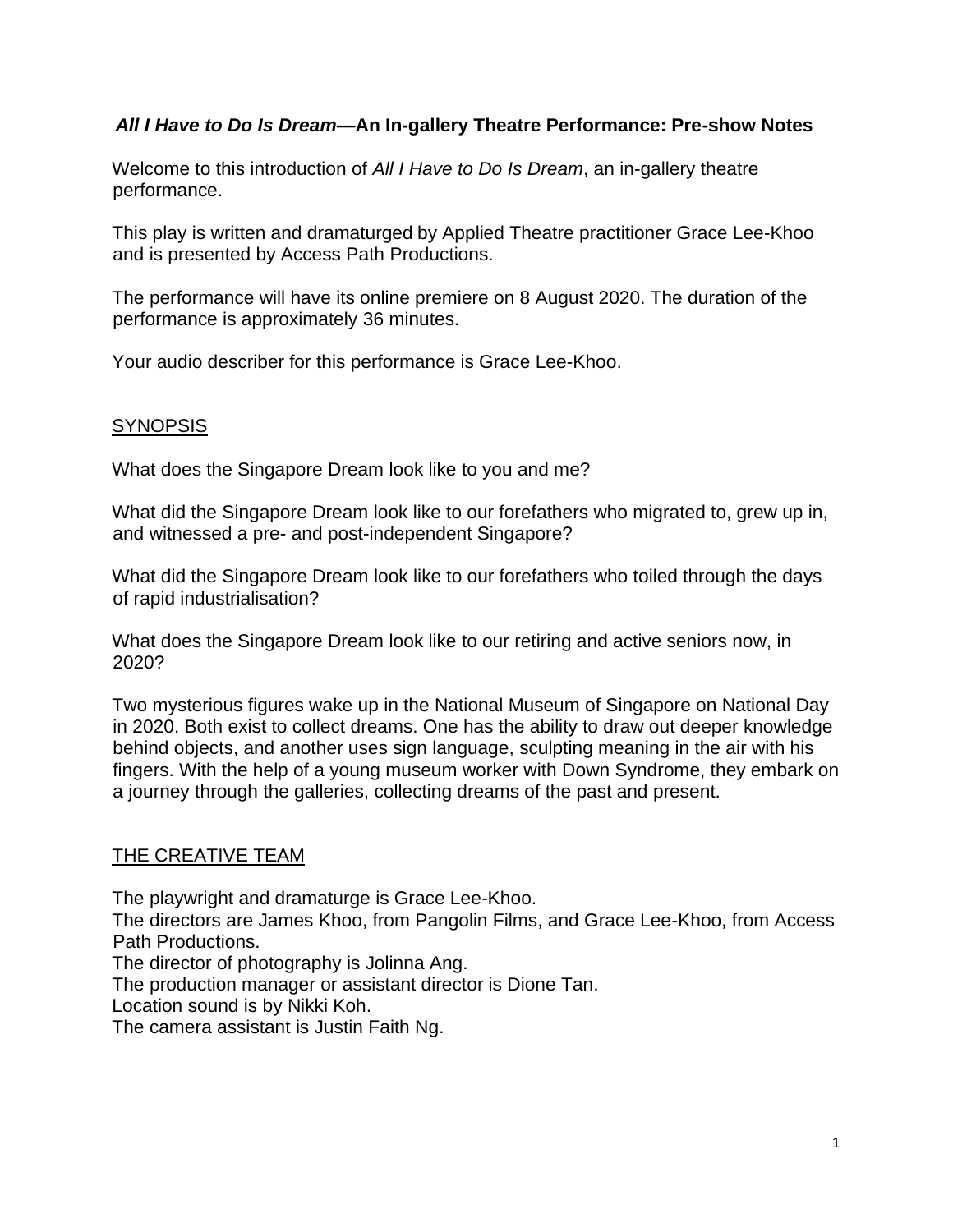# *All I Have to Do Is Dream***—An In-gallery Theatre Performance: Pre-show Notes**

Welcome to this introduction of *All I Have to Do Is Dream*, an in-gallery theatre performance.

This play is written and dramaturged by Applied Theatre practitioner Grace Lee-Khoo and is presented by Access Path Productions.

The performance will have its online premiere on 8 August 2020. The duration of the performance is approximately 36 minutes.

Your audio describer for this performance is Grace Lee-Khoo.

# **SYNOPSIS**

What does the Singapore Dream look like to you and me?

What did the Singapore Dream look like to our forefathers who migrated to, grew up in, and witnessed a pre- and post-independent Singapore?

What did the Singapore Dream look like to our forefathers who toiled through the days of rapid industrialisation?

What does the Singapore Dream look like to our retiring and active seniors now, in 2020?

Two mysterious figures wake up in the National Museum of Singapore on National Day in 2020. Both exist to collect dreams. One has the ability to draw out deeper knowledge behind objects, and another uses sign language, sculpting meaning in the air with his fingers. With the help of a young museum worker with Down Syndrome, they embark on a journey through the galleries, collecting dreams of the past and present.

# THE CREATIVE TEAM

The playwright and dramaturge is Grace Lee-Khoo.

The directors are James Khoo, from Pangolin Films, and Grace Lee-Khoo, from Access Path Productions.

The director of photography is Jolinna Ang.

The production manager or assistant director is Dione Tan.

Location sound is by Nikki Koh.

The camera assistant is Justin Faith Ng.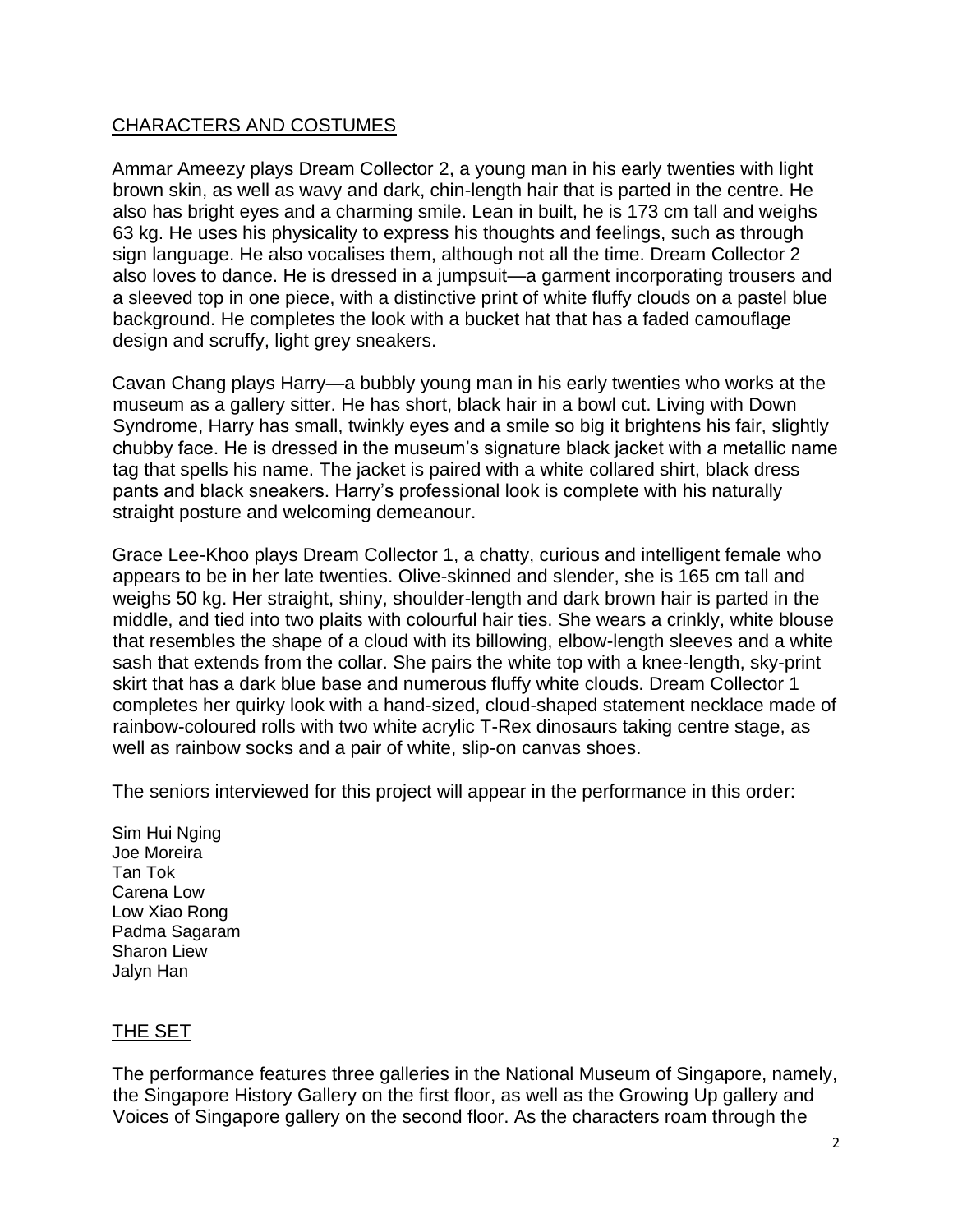### CHARACTERS AND COSTUMES

Ammar Ameezy plays Dream Collector 2, a young man in his early twenties with light brown skin, as well as wavy and dark, chin-length hair that is parted in the centre. He also has bright eyes and a charming smile. Lean in built, he is 173 cm tall and weighs 63 kg. He uses his physicality to express his thoughts and feelings, such as through sign language. He also vocalises them, although not all the time. Dream Collector 2 also loves to dance. He is dressed in a jumpsuit—a garment incorporating trousers and a sleeved top in one piece, with a distinctive print of white fluffy clouds on a pastel blue background. He completes the look with a bucket hat that has a faded camouflage design and scruffy, light grey sneakers.

Cavan Chang plays Harry—a bubbly young man in his early twenties who works at the museum as a gallery sitter. He has short, black hair in a bowl cut. Living with Down Syndrome, Harry has small, twinkly eyes and a smile so big it brightens his fair, slightly chubby face. He is dressed in the museum's signature black jacket with a metallic name tag that spells his name. The jacket is paired with a white collared shirt, black dress pants and black sneakers. Harry's professional look is complete with his naturally straight posture and welcoming demeanour.

Grace Lee-Khoo plays Dream Collector 1, a chatty, curious and intelligent female who appears to be in her late twenties. Olive-skinned and slender, she is 165 cm tall and weighs 50 kg. Her straight, shiny, shoulder-length and dark brown hair is parted in the middle, and tied into two plaits with colourful hair ties. She wears a crinkly, white blouse that resembles the shape of a cloud with its billowing, elbow-length sleeves and a white sash that extends from the collar. She pairs the white top with a knee-length, sky-print skirt that has a dark blue base and numerous fluffy white clouds. Dream Collector 1 completes her quirky look with a hand-sized, cloud-shaped statement necklace made of rainbow-coloured rolls with two white acrylic T-Rex dinosaurs taking centre stage, as well as rainbow socks and a pair of white, slip-on canvas shoes.

The seniors interviewed for this project will appear in the performance in this order:

Sim Hui Nging Joe Moreira Tan Tok Carena Low Low Xiao Rong Padma Sagaram Sharon Liew Jalyn Han

#### THE SET

The performance features three galleries in the National Museum of Singapore, namely, the Singapore History Gallery on the first floor, as well as the Growing Up gallery and Voices of Singapore gallery on the second floor. As the characters roam through the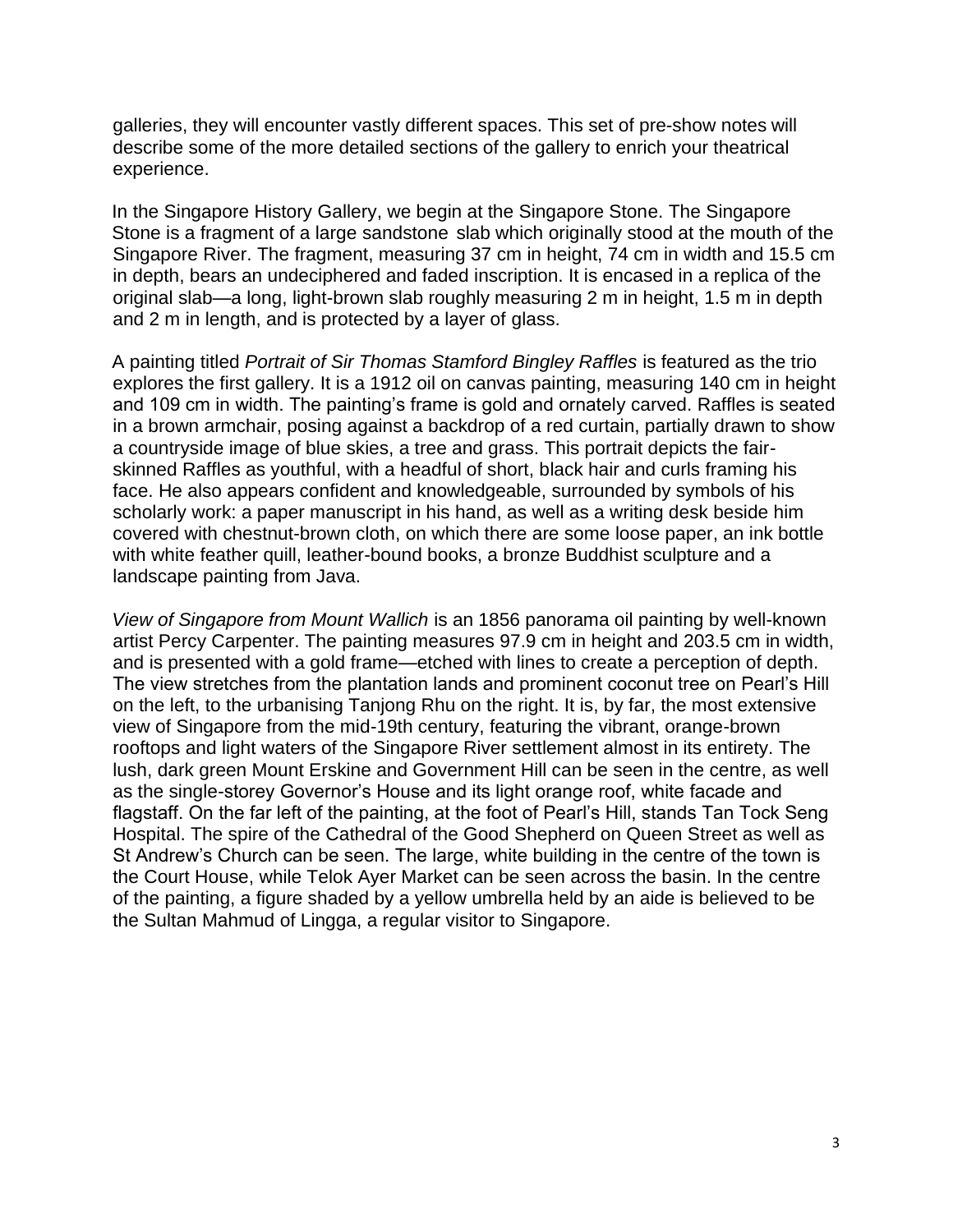galleries, they will encounter vastly different spaces. This set of pre-show notes will describe some of the more detailed sections of the gallery to enrich your theatrical experience.

In the Singapore History Gallery, we begin at the Singapore Stone. The Singapore Stone is a fragment of a large [sandstone](https://en.wikipedia.org/wiki/Sandstone) slab which originally stood at the mouth of the [Singapore River.](https://en.wikipedia.org/wiki/Singapore_River) The fragment, measuring 37 cm in height, 74 cm in width and 15.5 cm in depth, bears an [undeciphered](https://en.wikipedia.org/wiki/Decipherment) and faded inscription. It is encased in a replica of the original slab—a long, light-brown slab roughly measuring 2 m in height, 1.5 m in depth and 2 m in length, and is protected by a layer of glass.

A painting titled *Portrait of Sir Thomas Stamford Bingley Raffles* is featured as the trio explores the first gallery. It is a 1912 oil on canvas painting, measuring 140 cm in height and 109 cm in width. The painting's frame is gold and ornately carved. Raffles is seated in a brown armchair, posing against a backdrop of a red curtain, partially drawn to show a countryside image of blue skies, a tree and grass. This portrait depicts the fairskinned Raffles as youthful, with a headful of short, black hair and curls framing his face. He also appears confident and knowledgeable, surrounded by symbols of his scholarly work: a paper manuscript in his hand, as well as a writing desk beside him covered with chestnut-brown cloth, on which there are some loose paper, an ink bottle with white feather quill, leather-bound books, a bronze Buddhist sculpture and a landscape painting from Java.

*View of Singapore from Mount Wallich* is an 1856 panorama oil painting by well-known artist Percy Carpenter. The painting measures 97.9 cm in height and 203.5 cm in width, and is presented with a gold frame—etched with lines to create a perception of depth. The view stretches from the plantation lands and prominent coconut tree on Pearl's Hill on the left, to the urbanising Tanjong Rhu on the right. It is, by far, the most extensive view of Singapore from the mid-19th century, featuring the vibrant, orange-brown rooftops and light waters of the Singapore River settlement almost in its entirety. The lush, dark green Mount Erskine and Government Hill can be seen in the centre, as well as the single-storey Governor's House and its light orange roof, white facade and flagstaff. On the far left of the painting, at the foot of Pearl's Hill, stands Tan Tock Seng Hospital. The spire of the Cathedral of the Good Shepherd on Queen Street as well as St Andrew's Church can be seen. The large, white building in the centre of the town is the Court House, while Telok Ayer Market can be seen across the basin. In the centre of the painting, a figure shaded by a yellow umbrella held by an aide is believed to be the Sultan Mahmud of Lingga, a regular visitor to Singapore.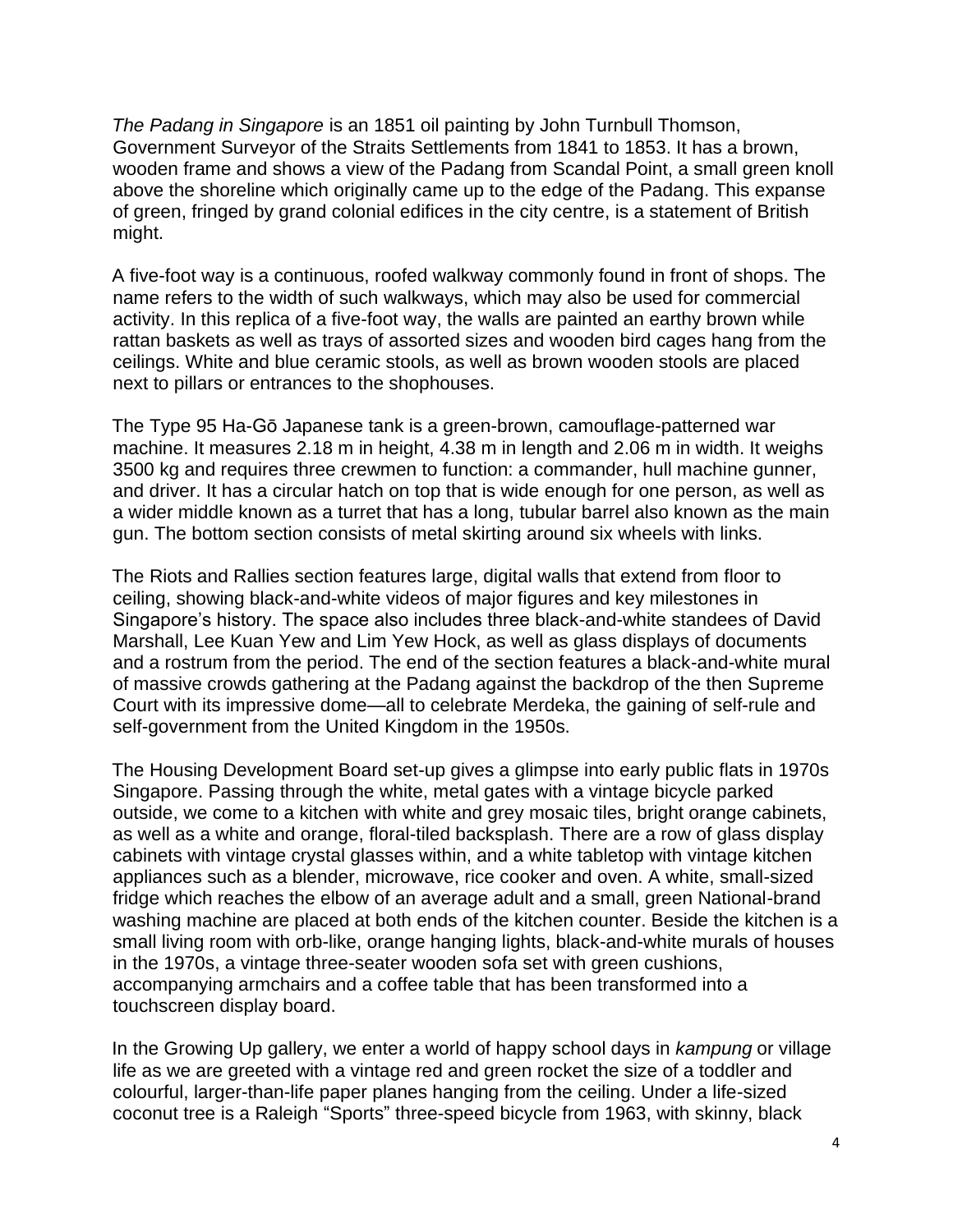*The Padang in Singapore* is an 1851 oil painting by John Turnbull Thomson, Government Surveyor of the Straits Settlements from 1841 to 1853. It has a brown, wooden frame and shows a view of the Padang from Scandal Point, a small green knoll above the shoreline which originally came up to the edge of the Padang. This expanse of green, fringed by grand colonial edifices in the city centre, is a statement of British might.

A five-foot way is a continuous, roofed walkway commonly found in front of shops. The name refers to the width of such walkways, which may also be used for commercial activity. In this replica of a five-foot way, the walls are painted an earthy brown while rattan baskets as well as trays of assorted sizes and wooden bird cages hang from the ceilings. White and blue ceramic stools, as well as brown wooden stools are placed next to pillars or entrances to the shophouses.

The Type 95 Ha-Gō Japanese tank is a green-brown, camouflage-patterned war machine. It measures 2.18 m in height, 4.38 m in length and 2.06 m in width. It weighs 3500 kg and requires three crewmen to function: a commander, hull machine gunner, and driver. It has a circular hatch on top that is wide enough for one person, as well as a wider middle known as a turret that has a long, tubular barrel also known as the main gun. The bottom section consists of metal skirting around six wheels with links.

The Riots and Rallies section features large, digital walls that extend from floor to ceiling, showing black-and-white videos of major figures and key milestones in Singapore's history. The space also includes three black-and-white standees of David Marshall, Lee Kuan Yew and Lim Yew Hock, as well as glass displays of documents and a rostrum from the period. The end of the section features a black-and-white mural of massive crowds gathering at the Padang against the backdrop of the then Supreme Court with its impressive dome—all to celebrate Merdeka, the gaining of [self-rule a](https://en.wikipedia.org/wiki/Self_rule)nd self-government from the United Kingdom in the 1950s.

The Housing Development Board set-up gives a glimpse into early public flats in 1970s Singapore. Passing through the white, metal gates with a vintage bicycle parked outside, we come to a kitchen with white and grey mosaic tiles, bright orange cabinets, as well as a white and orange, floral-tiled backsplash. There are a row of glass display cabinets with vintage crystal glasses within, and a white tabletop with vintage kitchen appliances such as a blender, microwave, rice cooker and oven. A white, small-sized fridge which reaches the elbow of an average adult and a small, green National-brand washing machine are placed at both ends of the kitchen counter. Beside the kitchen is a small living room with orb-like, orange hanging lights, black-and-white murals of houses in the 1970s, a vintage three-seater wooden sofa set with green cushions, accompanying armchairs and a coffee table that has been transformed into a touchscreen display board.

In the Growing Up gallery, we enter a world of happy school days in *kampung* or village life as we are greeted with a vintage red and green rocket the size of a toddler and colourful, larger-than-life paper planes hanging from the ceiling. Under a life-sized coconut tree is a Raleigh "Sports" three-speed bicycle from 1963, with skinny, black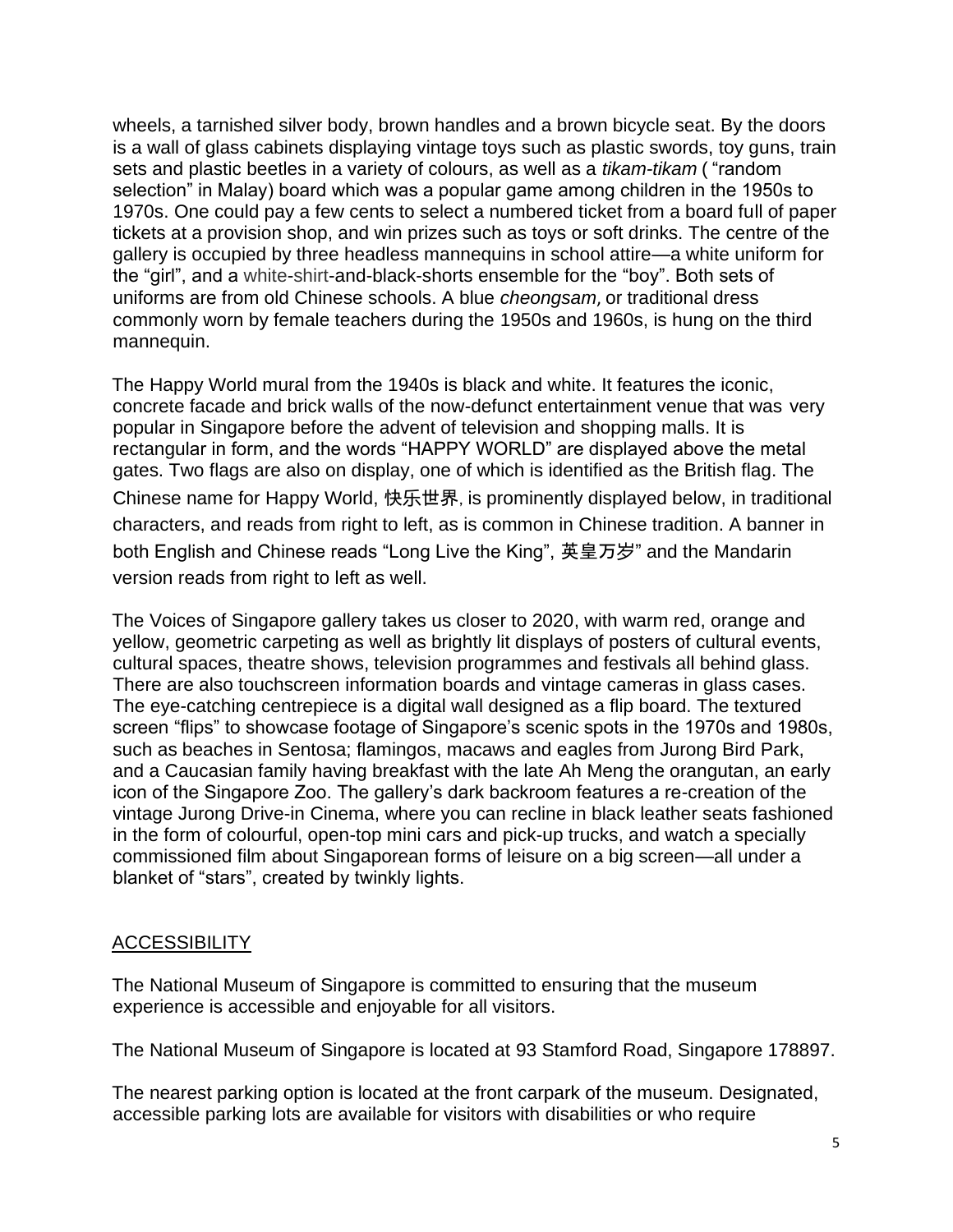wheels, a tarnished silver body, brown handles and a brown bicycle seat. By the doors is a wall of glass cabinets displaying vintage toys such as plastic swords, toy guns, train sets and plastic beetles in a variety of colours, as well as a *tikam-tikam* ( "random selection" in Malay) board which was a popular game among children in the 1950s to 1970s. One could pay a few cents to select a numbered ticket from a board full of paper tickets at a provision shop, and win prizes such as toys or soft drinks. The centre of the gallery is occupied by three headless mannequins in school attire—a white uniform for the "girl", and a white-shirt-and-black-shorts ensemble for the "boy". Both sets of uniforms are from old Chinese schools. A blue *cheongsam*, or traditional dress commonly worn by female teachers during the 1950s and 1960s, is hung on the third mannequin.

The Happy World mural from the 1940s is black and white. It features the iconic, concrete facade and brick walls of the now-defunct entertainment venue that was very popular in Singapore before the advent of television and shopping malls. It is rectangular in form, and the words "HAPPY WORLD" are displayed above the metal gates. Two flags are also on display, one of which is identified as the British flag. The Chinese name for Happy World, 快乐世界,is prominently displayed below, in traditional characters, and reads from right to left, as is common in Chinese tradition. A banner in both English and Chinese reads "Long Live the King", 英皇万岁" and the Mandarin version reads from right to left as well.

The Voices of Singapore gallery takes us closer to 2020, with warm red, orange and yellow, geometric carpeting as well as brightly lit displays of posters of cultural events, cultural spaces, theatre shows, television programmes and festivals all behind glass. There are also touchscreen information boards and vintage cameras in glass cases. The eye-catching centrepiece is a digital wall designed as a flip board. The textured screen "flips" to showcase footage of Singapore's scenic spots in the 1970s and 1980s, such as beaches in Sentosa; flamingos, macaws and eagles from Jurong Bird Park, and a Caucasian family having breakfast with the late Ah Meng the orangutan, an early icon of the Singapore Zoo. The gallery's dark backroom features a re-creation of the vintage Jurong Drive-in Cinema, where you can recline in black leather seats fashioned in the form of colourful, open-top mini cars and pick-up trucks, and watch a specially commissioned film about Singaporean forms of leisure on a big screen—all under a blanket of "stars", created by twinkly lights.

#### **ACCESSIBILITY**

The National Museum of Singapore is committed to ensuring that the museum experience is accessible and enjoyable for all visitors.

The National Museum of Singapore is located at 93 Stamford Road, Singapore 178897.

The nearest parking option is located at the front carpark of the museum. Designated, accessible parking lots are available for visitors with disabilities or who require